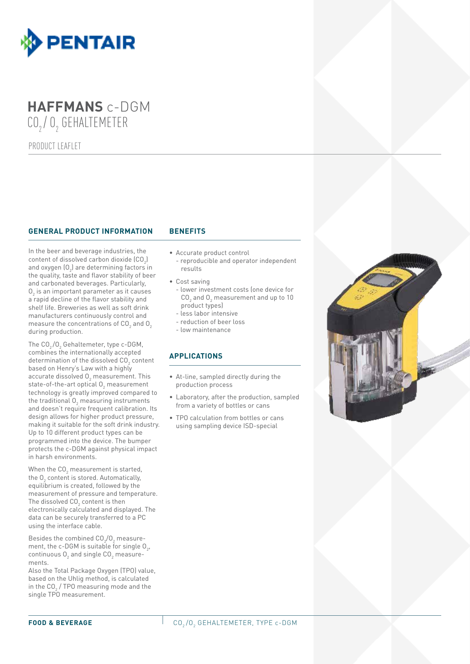

## **HAFFMANS** c-DGM CO<sub>2</sub>/O<sub>2</sub> GEHALTEMETER

PRODUCT LEAFLET

#### **GENERAL PRODUCT INFORMATION BENEFITS**

In the beer and beverage industries, the content of dissolved carbon dioxide  $\textsf{[CO}_{\textit{2}}\textsf{]}$ and oxygen (O $_{\textrm{\scriptsize{2}}}$ ) are determining factors in the quality, taste and flavor stability of beer and carbonated beverages. Particularly,  $0_{\tiny 2}$  is an important parameter as it causes a rapid decline of the flavor stability and shelf life. Breweries as well as soft drink manufacturers continuously control and measure the concentrations of  $\textsf{CO}_2$  and  $\textsf{O}_2$ during production.

The  $\textsf{CO}_2/\textsf{O}_2$  Gehaltemeter, type c-DGM, combines the internationally accepted determination of the dissolved  $\textsf{CO}_2$  content based on Henry's Law with a highly accurate dissolved  $0_{_2}$  measurement. This state-of-the-art optical  ${\mathsf O}_2$  measurement technology is greatly improved compared to the traditional  ${\mathsf O}_{_2}$  measuring instruments and doesn't require frequent calibration. Its design allows for higher product pressure, making it suitable for the soft drink industry. Up to 10 different product types can be programmed into the device. The bumper protects the c-DGM against physical impact in harsh environments.

When the CO $_{\rm 2}$  measurement is started, the  $0_{_2}$  content is stored. Automatically, equilibrium is created, followed by the measurement of pressure and temperature. The dissolved CO $_{\rm 2}$  content is then electronically calculated and displayed. The data can be securely transferred to a PC using the interface cable.

Besides the combined  $CO<sub>2</sub>/O<sub>2</sub>$  measurement, the c-DGM is suitable for single  $O_{2'}$ , continuous  $O_2$  and single  $CO_2$  measurements.

Also the Total Package Oxygen (TPO) value, based on the Uhlig method, is calculated in the CO $_{\rm 2}$  / TPO measuring mode and the single TPO measurement.

- 
- Accurate product control
- reproducible and operator independent results
- Cost saving
	- lower investment costs (one device for  $\mathsf{CO}_2$  and  $\mathsf{O}_2$  measurement and up to 10 product types)
	- less labor intensive
	- reduction of beer loss
	- low maintenance

#### **APPLICATIONS**

- At-line, sampled directly during the production process
- Laboratory, after the production, sampled from a variety of bottles or cans
- TPO calculation from bottles or cans using sampling device ISD-special